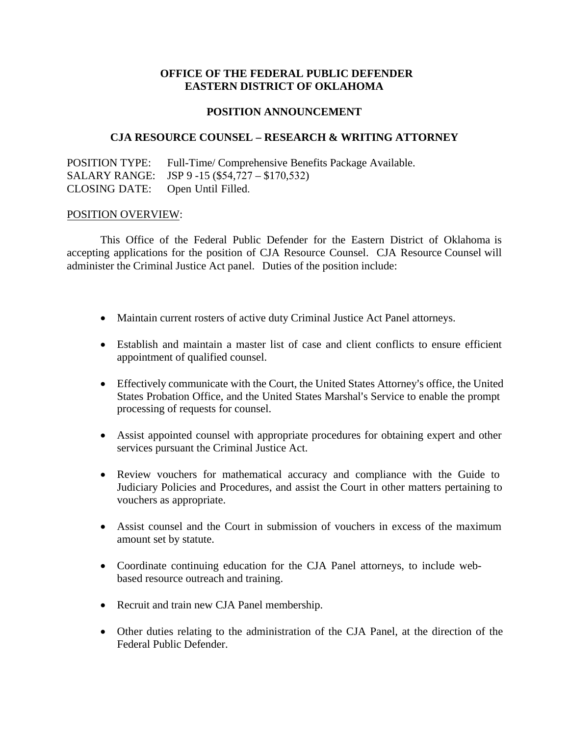## **OFFICE OF THE FEDERAL PUBLIC DEFENDER EASTERN DISTRICT OF OKLAHOMA**

### **POSITION ANNOUNCEMENT**

#### **CJA RESOURCE COUNSEL – RESEARCH & WRITING ATTORNEY**

POSITION TYPE: Full-Time/ Comprehensive Benefits Package Available. SALARY RANGE: JSP 9 -15 (\$54,727 – \$170,532) CLOSING DATE: Open Until Filled.

#### POSITION OVERVIEW:

This Office of the Federal Public Defender for the Eastern District of Oklahoma is accepting applications for the position of CJA Resource Counsel. CJA Resource Counsel will administer the Criminal Justice Act panel. Duties of the position include:

- Maintain current rosters of active duty Criminal Justice Act Panel attorneys.
- Establish and maintain a master list of case and client conflicts to ensure efficient appointment of qualified counsel.
- Effectively communicate with the Court, the United States Attorney's office, the United States Probation Office, and the United States Marshal's Service to enable the prompt processing of requests for counsel.
- Assist appointed counsel with appropriate procedures for obtaining expert and other services pursuant the Criminal Justice Act.
- Review vouchers for mathematical accuracy and compliance with the Guide to Judiciary Policies and Procedures, and assist the Court in other matters pertaining to vouchers as appropriate.
- Assist counsel and the Court in submission of vouchers in excess of the maximum amount set by statute.
- Coordinate continuing education for the CJA Panel attorneys, to include webbased resource outreach and training.
- Recruit and train new CJA Panel membership.
- Other duties relating to the administration of the CJA Panel, at the direction of the Federal Public Defender.